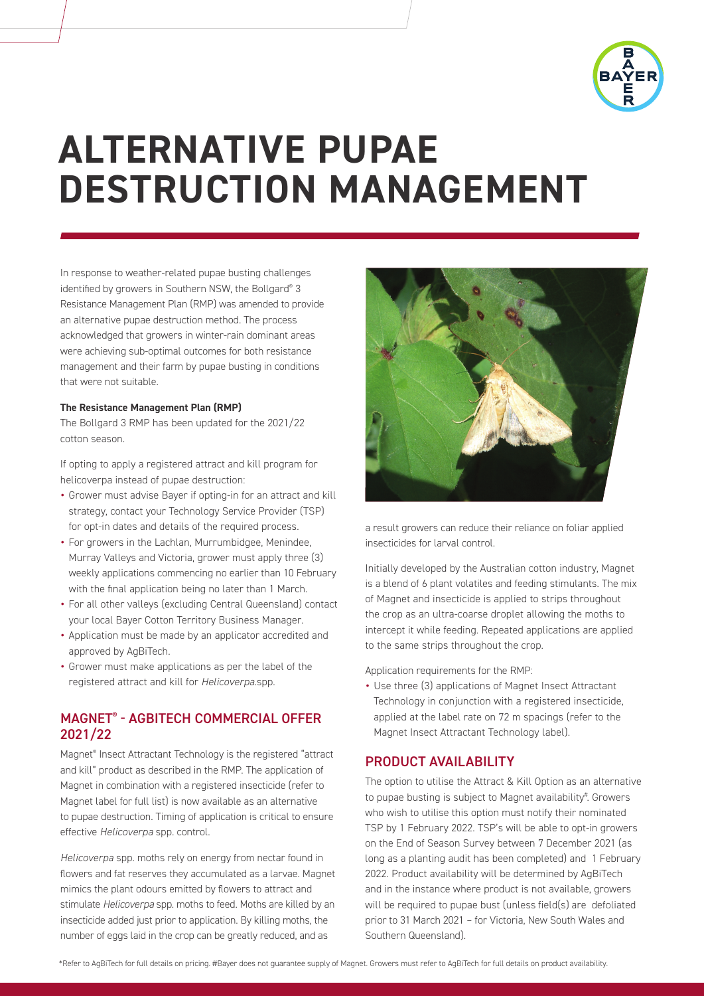

# **ALTERNATIVE PUPAE DESTRUCTION MANAGEMENT**

In response to weather-related pupae busting challenges identified by growers in Southern NSW, the Bollgard® 3 Resistance Management Plan (RMP) was amended to provide an alternative pupae destruction method. The process acknowledged that growers in winter-rain dominant areas were achieving sub-optimal outcomes for both resistance management and their farm by pupae busting in conditions that were not suitable.

#### **The Resistance Management Plan (RMP)**

The Bollgard 3 RMP has been updated for the 2021/22 cotton season.

If opting to apply a registered attract and kill program for helicoverpa instead of pupae destruction:

- *•* Grower must advise Bayer if opting-in for an attract and kill strategy, contact your Technology Service Provider (TSP) for opt-in dates and details of the required process.
- *•* For growers in the Lachlan, Murrumbidgee, Menindee, Murray Valleys and Victoria, grower must apply three (3) weekly applications commencing no earlier than 10 February with the final application being no later than 1 March.
- *•* For all other valleys (excluding Central Queensland) contact your local Bayer Cotton Territory Business Manager.
- *•* Application must be made by an applicator accredited and approved by AgBiTech.
- *•* Grower must make applications as per the label of the registered attract and kill for *Helicoverpa.*spp.

#### MAGNET® - AGBITECH COMMERCIAL OFFER 2021/22

Magnet® Insect Attractant Technology is the registered "attract and kill" product as described in the RMP. The application of Magnet in combination with a registered insecticide (refer to Magnet label for full list) is now available as an alternative to pupae destruction. Timing of application is critical to ensure effective *Helicoverpa* spp. control.

*Helicoverpa* spp. moths rely on energy from nectar found in flowers and fat reserves they accumulated as a larvae. Magnet mimics the plant odours emitted by flowers to attract and stimulate *Helicoverpa* spp. moths to feed. Moths are killed by an insecticide added just prior to application. By killing moths, the number of eggs laid in the crop can be greatly reduced, and as



a result growers can reduce their reliance on foliar applied insecticides for larval control.

Initially developed by the Australian cotton industry, Magnet is a blend of 6 plant volatiles and feeding stimulants. The mix of Magnet and insecticide is applied to strips throughout the crop as an ultra-coarse droplet allowing the moths to intercept it while feeding. Repeated applications are applied to the same strips throughout the crop.

Application requirements for the RMP:

*•* Use three (3) applications of Magnet Insect Attractant Technology in conjunction with a registered insecticide, applied at the label rate on 72 m spacings (refer to the Magnet Insect Attractant Technology label).

#### PRODUCT AVAILABILITY

The option to utilise the Attract & Kill Option as an alternative to pupae busting is subject to Magnet availability#. Growers who wish to utilise this option must notify their nominated TSP by 1 February 2022. TSP's will be able to opt-in growers on the End of Season Survey between 7 December 2021 (as long as a planting audit has been completed) and 1 February 2022. Product availability will be determined by AgBiTech and in the instance where product is not available, growers will be required to pupae bust (unless field(s) are defoliated prior to 31 March 2021 – for Victoria, New South Wales and Southern Queensland).